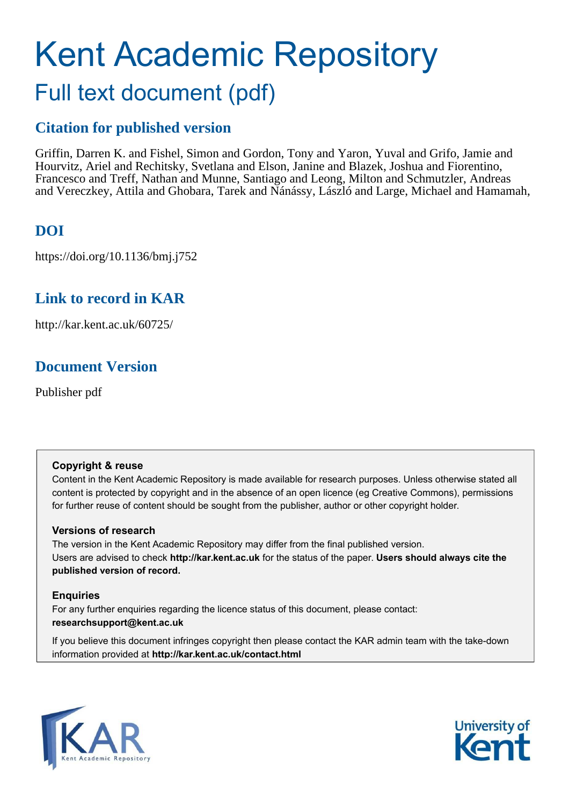# Kent Academic Repository Full text document (pdf)

# **Citation for published version**

Griffin, Darren K. and Fishel, Simon and Gordon, Tony and Yaron, Yuval and Grifo, Jamie and Hourvitz, Ariel and Rechitsky, Svetlana and Elson, Janine and Blazek, Joshua and Fiorentino, Francesco and Treff, Nathan and Munne, Santiago and Leong, Milton and Schmutzler, Andreas and Vereczkey, Attila and Ghobara, Tarek and Nánássy, László and Large, Michael and Hamamah,

# **DOI**

https://doi.org/10.1136/bmj.j752

### **Link to record in KAR**

http://kar.kent.ac.uk/60725/

# **Document Version**

Publisher pdf

#### **Copyright & reuse**

Content in the Kent Academic Repository is made available for research purposes. Unless otherwise stated all content is protected by copyright and in the absence of an open licence (eg Creative Commons), permissions for further reuse of content should be sought from the publisher, author or other copyright holder.

#### **Versions of research**

The version in the Kent Academic Repository may differ from the final published version. Users are advised to check **http://kar.kent.ac.uk** for the status of the paper. **Users should always cite the published version of record.**

#### **Enquiries**

For any further enquiries regarding the licence status of this document, please contact: **researchsupport@kent.ac.uk**

If you believe this document infringes copyright then please contact the KAR admin team with the take-down information provided at **http://kar.kent.ac.uk/contact.html**



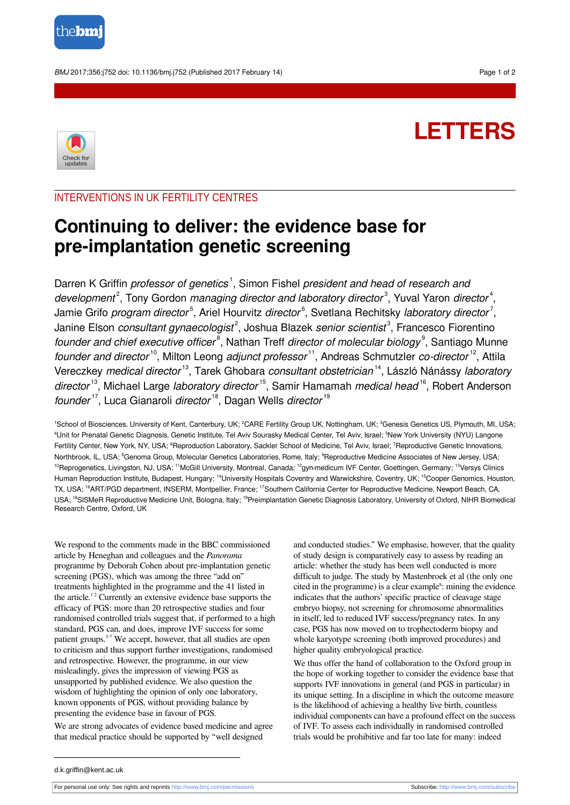

BMJ 2017;356:j752 doi: 10.1136/bmj.j752 (Published 2017 February 14) Page 1 of 2



# **LETTERS**

#### INTERVENTIONS IN UK FERTILITY CENTRES

# **Continuing to deliver: the evidence base for pre-implantation genetic screening**

Darren K Griffin *professor of genetics*<sup>1</sup>, Simon Fishel *president and head of research and* development<sup>2</sup>, Tony Gordon managing director and laboratory director<sup>3</sup>, Yuval Yaron director<sup>4</sup>, Jamie Grifo *program director*<sup>5</sup>, Ariel Hourvitz *director*<sup>6</sup>, Svetlana Rechitsky *laboratory director<sup>7</sup>,* Janine Elson consultant gynaecologist<sup>2</sup>, Joshua Blazek senior scientist<sup>3</sup>, Francesco Fiorentino founder and chief executive officer<sup>8</sup>. Nathan Treff director of molecular biology<sup>9</sup>. Santiago Munne founder and director<sup>10</sup>, Milton Leong adjunct professor<sup>11</sup>, Andreas Schmutzler co-director<sup>12</sup>, Attila Vereczkey medical director<sup>13</sup>, Tarek Ghobara consultant obstetrician<sup>14</sup>, László Nánássy laboratory director<sup>13</sup>, Michael Large laboratory director<sup>15</sup>, Samir Hamamah medical head<sup>16</sup>, Robert Anderson founder<sup>17</sup>, Luca Gianaroli director<sup>18</sup>, Dagan Wells director<sup>19</sup>

<sup>1</sup>School of Biosciences, University of Kent, Canterbury, UK; <sup>2</sup>CARE Fertility Group UK, Nottingham, UK; <sup>3</sup>Genesis Genetics US, Plymouth, MI, USA; <sup>4</sup>Unit for Prenatal Genetic Diagnosis, Genetic Institute, Tel Aviv Sourasky Medical Center, Tel Aviv, Israel: <sup>5</sup>New York University (NYU) Langone Fertility Center, New York, NY, USA; <sup>6</sup>Reproduction Laboratory, Sackler School of Medicine, Tel Aviv, Israel; <sup>7</sup>Reproductive Genetic Innovations, Northbrook, IL, USA; <sup>8</sup>Genoma Group, Molecular Genetics Laboratories, Rome, Italy; <sup>9</sup>Reproductive Medicine Associates of New Jersey, USA; <sup>10</sup>Reprogenetics, Livingston, NJ, USA; <sup>11</sup>McGill University, Montreal, Canada; <sup>12</sup>gyn-medicum IVF Center, Goettingen, Germany; <sup>13</sup>Versys Clinics Human Reproduction Institute, Budapest, Hungary; <sup>14</sup>University Hospitals Coventry and Warwickshire, Coventry, UK; <sup>15</sup>Cooper Genomics, Houston, TX, USA; <sup>16</sup>ART/PGD department, INSERM, Montpellier, France; <sup>17</sup>Southern California Center for Reproductive Medicine, Newport Beach, CA, USA; <sup>18</sup>SISMeR Reproductive Medicine Unit, Bologna, Italy; <sup>19</sup>Preimplantation Genetic Diagnosis Laboratory, University of Oxford, NIHR Biomedical Research Centre, Oxford, UK

We respond to the comments made in the BBC commissioned article by Heneghan and colleagues and the *Panorama* programme by Deborah Cohen about pre-implantation genetic screening (PGS), which was among the three "add on" treatments highlighted in the programme and the 41 listed in the article.<sup>12</sup> Currently an extensive evidence base supports the efficacy of PGS: more than 20 retrospective studies and four randomised controlled trials suggest that, if performed to a high standard, PGS can, and does, improve IVF success for some patient groups.3-7 We accept, however, that all studies are open to criticism and thus support further investigations, randomised and retrospective. However, the programme, in our view misleadingly, gives the impression of viewing PGS as unsupported by published evidence. We also question the wisdom of highlighting the opinion of only one laboratory, known opponents of PGS, without providing balance by presenting the evidence base in favour of PGS.

We are strong advocates of evidence based medicine and agree that medical practice should be supported by "well designed

and conducted studies." We emphasise, however, that the quality of study design is comparatively easy to assess by reading an article: whether the study has been well conducted is more difficult to judge. The study by Mastenbroek et al (the only one cited in the programme) is a clear example<sup>8</sup>: mining the evidence indicates that the authors' specific practice of cleavage stage embryo biopsy, not screening for chromosome abnormalities in itself, led to reduced IVF success/pregnancy rates. In any case, PGS has now moved on to trophectoderm biopsy and whole karyotype screening (both improved procedures) and higher quality embryological practice.

We thus offer the hand of collaboration to the Oxford group in the hope of working together to consider the evidence base that supports IVF innovations in general (and PGS in particular) in its unique setting. In a discipline in which the outcome measure is the likelihood of achieving a healthy live birth, countless individual components can have a profound effect on the success of IVF. To assess each individually in randomised controlled trials would be prohibitive and far too late for many: indeed

d.k.griffin@kent.ac.uk